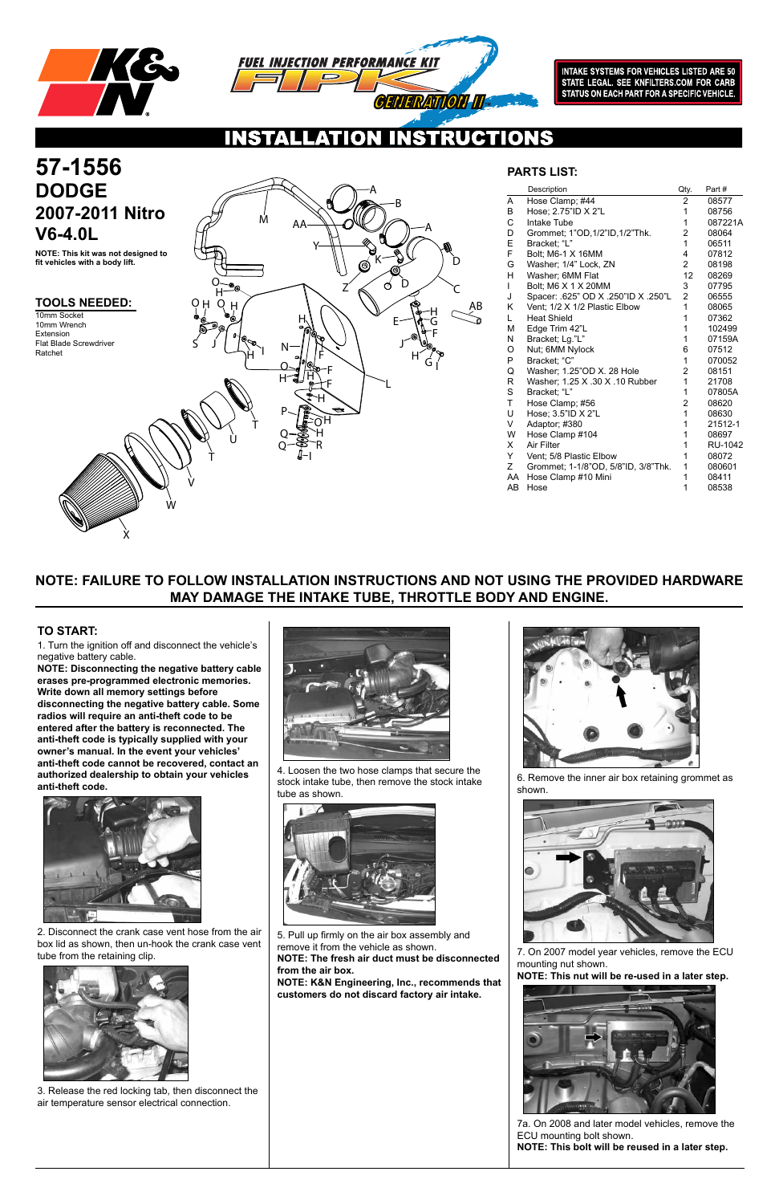



**INTAKE SYSTEMS FOR VEHICLES LISTED ARE 50** STATE LEGAL. SEE KNFILTERS.COM FOR CARB<br>STATE LEGAL. SEE KNFILTERS.COM FOR CARB<br>STATUS ON EACH PART FOR A SPECIFIC VEHICLE.

 $\mathbf{O}$ NS

### **TOOLS NEEDED:**

## **NOTE: FAILURE TO FOLLOW INSTALLATION INSTRUCTIONS AND NOT USING THE PROVIDED HARDWARE MAY DAMAGE THE INTAKE TUBE, THROTTLE BODY AND ENGINE.**

1. Turn the ignition off and disconnect the vehicle's negative battery cable.

**NOTE: Disconnecting the negative battery cable erases pre-programmed electronic memories. Write down all memory settings before disconnecting the negative battery cable. Some radios will require an anti-theft code to be entered after the battery is reconnected. The anti-theft code is typically supplied with your owner's manual. In the event your vehicles' anti-theft code cannot be recovered, contact an authorized dealership to obtain your vehicles anti-theft code.**



### **TO START:**

**NOTE: This kit was not designed to fit vehicles with a body lift.**

2. Disconnect the crank case vent hose from the air box lid as shown, then un-hook the crank case vent tube from the retaining clip.



3. Release the red locking tab, then disconnect the air temperature sensor electrical connection.



4. Loosen the two hose clamps that secure the stock intake tube, then remove the stock intake tube as shown.





5. Pull up firmly on the air box assembly and remove it from the vehicle as shown. **NOTE: The fresh air duct must be disconnected from the air box.**

# **57-1556 2007-2011 Nitro V6-4.0L**

**NOTE: K&N Engineering, Inc., recommends that customers do not discard factory air intake.**

6. Remove the inner air box retaining grommet as shown.



7. On 2007 model year vehicles, remove the ECU mounting nut shown.

**NOTE: This nut will be re-used in a later step.**



|              | Description                         | Qty.           | Part#   |
|--------------|-------------------------------------|----------------|---------|
| A            | Hose Clamp; #44                     | $\overline{2}$ | 08577   |
| B            | Hose; 2.75"ID X 2"L                 | 1              | 08756   |
| C            | Intake Tube                         | 1              | 087221A |
| D            | Grommet; 1"OD, 1/2"ID, 1/2"Thk.     | 2              | 08064   |
| E            | Bracket; "L"                        | $\mathbf{1}$   | 06511   |
| F.           | Bolt: M6-1 X 16MM                   | 4              | 07812   |
| G            | Washer; 1/4" Lock, ZN               | $\overline{2}$ | 08198   |
| H.           | Washer; 6MM Flat                    | 12             | 08269   |
| L            | Bolt; M6 X 1 X 20MM                 | 3              | 07795   |
| J            | Spacer: .625" OD X .250"ID X .250"L | $\overline{2}$ | 06555   |
| K            | Vent; 1/2 X 1/2 Plastic Elbow       | 1              | 08065   |
| L            | <b>Heat Shield</b>                  | 1              | 07362   |
| М            | Edge Trim 42"L                      | 1              | 102499  |
| N            | Bracket; Lg."L"                     | 1              | 07159A  |
| O            | Nut; 6MM Nylock                     | 6              | 07512   |
| P            | Bracket; "C"                        | 1              | 070052  |
| Q            | Washer; 1.25"OD X. 28 Hole          | $\overline{2}$ | 08151   |
| R            | Washer; 1.25 X .30 X .10 Rubber     | $\mathbf{1}$   | 21708   |
| S            | Bracket; "L"                        | 1              | 07805A  |
| $\mathsf{T}$ | Hose Clamp; #56                     | $\overline{2}$ | 08620   |
| U            | Hose; 3.5"ID X 2"L                  | 1              | 08630   |
| V            | Adaptor; #380                       | 1              | 21512-1 |
| W            | Hose Clamp #104                     | 1              | 08697   |
| X.           | <b>Air Filter</b>                   | 1              | RU-1042 |
| Y.           | Vent; 5/8 Plastic Elbow             | 1              | 08072   |
| Z            | Grommet; 1-1/8"OD, 5/8"ID, 3/8"Thk. | 1              | 080601  |
| AA           | Hose Clamp #10 Mini                 | 1              | 08411   |
| AB           | Hose                                | 1              | 08538   |

## **PARTS LIST:**

10mm Socket 10mm Wrench Extension Flat Blade Screwdriver Ratchet



7a. On 2008 and later model vehicles, remove the ECU mounting bolt shown. **NOTE: This bolt will be reused in a later step.**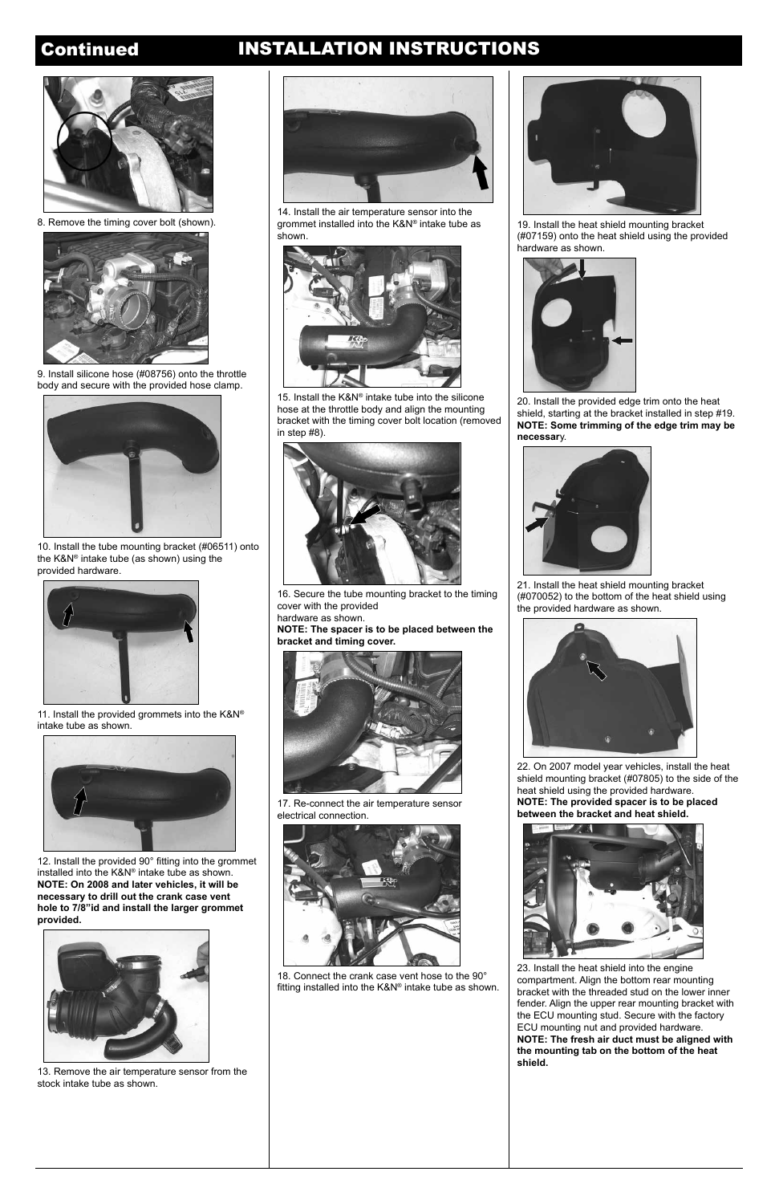## Continued INSTALLATION INSTRUCTIONS



8. Remove the timing cover bolt (shown).



9. Install silicone hose (#08756) onto the throttle body and secure with the provided hose clamp.



11. Install the provided grommets into the K&N® intake tube as shown.



10. Install the tube mounting bracket (#06511) onto the K&N® intake tube (as shown) using the provided hardware.



14. Install the air temperature sensor into the grommet installed into the K&N® intake tube as shown.



15. Install the K&N® intake tube into the silicone hose at the throttle body and align the mounting bracket with the timing cover bolt location (removed in step #8).



16. Secure the tube mounting bracket to the timing cover with the provided

hardware as shown.

**NOTE: The spacer is to be placed between the bracket and timing cover.**



19. Install the heat shield mounting bracket (#07159) onto the heat shield using the provided hardware as shown.



20. Install the provided edge trim onto the heat shield, starting at the bracket installed in step #19. **NOTE: Some trimming of the edge trim may be necessar**y.



21. Install the heat shield mounting bracket (#070052) to the bottom of the heat shield using the provided hardware as shown.

18. Connect the crank case vent hose to the 90° fitting installed into the K&N® intake tube as shown.

13. Remove the air temperature sensor from the stock intake tube as shown.



17. Re-connect the air temperature sensor electrical connection.





12. Install the provided 90° fitting into the grommet installed into the K&N® intake tube as shown. **NOTE: On 2008 and later vehicles, it will be** 

**necessary to drill out the crank case vent hole to 7/8"id and install the larger grommet provided.**





22. On 2007 model year vehicles, install the heat shield mounting bracket (#07805) to the side of the heat shield using the provided hardware. **NOTE: The provided spacer is to be placed between the bracket and heat shield.**



23. Install the heat shield into the engine compartment. Align the bottom rear mounting bracket with the threaded stud on the lower inner fender. Align the upper rear mounting bracket with the ECU mounting stud. Secure with the factory ECU mounting nut and provided hardware. **NOTE: The fresh air duct must be aligned with the mounting tab on the bottom of the heat shield.**